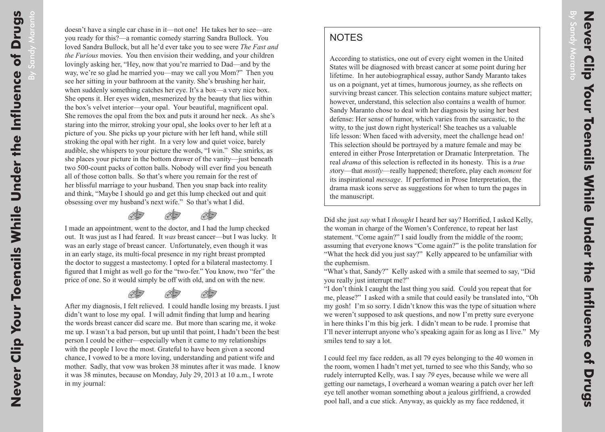Maranto

## **NOTES**

According to statistics, one out of every eight women in the United States will be diagnosed with breast cancer at some point during her lifetime. In her autobiographical essay, author Sandy Maranto takes us on a poignant, yet at times, humorous journey, as she reflects on surviving breast cancer. This selection contains mature subject matter; however, understand, this selection also contains a wealth of humor. Sandy Maranto chose to deal with her diagnosis by using her best defense: Her sense of humor, which varies from the sarcastic, to the witty, to the just down right hysterical! She teaches us a valuable life lesson: When faced with adversity, meet the challenge head on! This selection should be portrayed by a mature female and may be entered in either Prose Interpretation or Dramatic Interpretation. The real *drama* of this selection is reflected in its honesty. This is a *true s*tory—that *mostly*—really happened; therefore, play each *moment* for its inspirational *message*. If performed in Prose Interpretation, the drama mask icons serve as suggestions for when to turn the pages in the manuscript.

Did she just *say* what I *thought* I heard her say? Horrified, I asked Kelly, the woman in charge of the Women's Conference, to repeat her last statement. "Come again?" I said loudly from the middle of the room; assuming that everyone knows "Come again?" is the polite translation for "What the heck did you just say?" Kelly appeared to be unfamiliar with the euphemism.

"I don't think I caught the last thing you said. Could you repeat that for me, please?" I asked with a smile that could easily be translated into, "Oh my gosh! I'm so sorry. I didn't know this was the type of situation where we weren't supposed to ask questions, and now I'm pretty sure everyone in here thinks I'm this big jerk. I didn't mean to be rude. I promise that I'll never interrupt anyone who's speaking again for as long as I live." My smiles tend to say a lot.

I could feel my face redden, as all 79 eyes belonging to the 40 women in the room, women I hadn't met yet, turned to see who this Sandy, who so rudely interrupted Kelly, was. I say *79* eyes, because while we were all getting our nametags, I overheard a woman wearing a patch over her left eye tell another woman something about a jealous girlfriend, a crowded pool hall, and a cue stick. Anyway, as quickly as my face reddened, it

<sup>&</sup>quot;What's that, Sandy?" Kelly asked with a smile that seemed to say, "Did you really just interrupt me?"